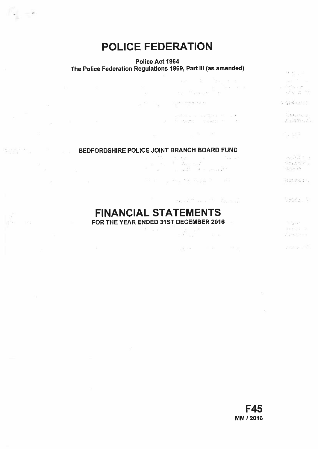# POLICE FEDERATION

 $\mathcal{I}=\mathcal{I}$ 

**SCI** 

 $\sim 10^{\circ}$ 

## Police Act 1964

## The Police Federation Regulations 1969, Part Ill (as amended)

|                 | 그는 아주 없는 것을 하나 없이 없어요.                                                                                                                                                                                   | rest in the team of the<br>The State Council<br>and the <sup>the</sup> consists <sup>on</sup> the                                                                                                                                                                                            | service the con-<br>e dinja sur<br>$\alpha^{22}$ is $-2.5$ . The $^{-1}$                                                                                                                                                                             |
|-----------------|----------------------------------------------------------------------------------------------------------------------------------------------------------------------------------------------------------|----------------------------------------------------------------------------------------------------------------------------------------------------------------------------------------------------------------------------------------------------------------------------------------------|------------------------------------------------------------------------------------------------------------------------------------------------------------------------------------------------------------------------------------------------------|
| The Contract of |                                                                                                                                                                                                          | $\label{eq:1.1} \mathcal{E}(\mathcal{E}) = \mathcal{E}_{\mathbf{X}} \qquad \qquad \mathcal{E}_{\mathbf{X}} \mathcal{E}^{\mathbf{X}} = \mathcal{E}^{\mathbf{X}} \mathcal{E}^{\mathbf{X}} \mathcal{E}^{\mathbf{X}} \mathcal{E}^{\mathbf{X}} \mathcal{E}^{\mathbf{X}} \mathcal{E}^{\mathbf{X}}$ | di Germania (n.                                                                                                                                                                                                                                      |
|                 | $\label{eq:R1} \begin{array}{lllllllllllllll} \mathcal{R} & \mathcal{R} & \mathcal{R} & \mathcal{R} & \mathcal{R} \\ \mathcal{R} & \mathcal{R} & \mathcal{R} & \mathcal{R} & \mathcal{R} \\ \end{array}$ | with a committee of the state<br>19 - 한 전자, 2021년 12월 20일 : 11월 10일                                                                                                                                                                                                                          | is Nathal<br>ことの際により                                                                                                                                                                                                                                 |
|                 |                                                                                                                                                                                                          | $\frac{d\Phi}{d\Omega} = \frac{d\Phi}{d\Omega} = \frac{d\Phi}{d\Omega}$                                                                                                                                                                                                                      | 이 나 있었어?                                                                                                                                                                                                                                             |
|                 |                                                                                                                                                                                                          | BEDFORDSHIRE POLICE JOINT BRANCH BOARD FUND                                                                                                                                                                                                                                                  |                                                                                                                                                                                                                                                      |
|                 | We have a second control of the second                                                                                                                                                                   | 0 TV 120,522 0 TAKE<br>a su faccion<br>the process and the committee                                                                                                                                                                                                                         | $\label{eq:3.1} \left[ \partial_{\xi} \phi_{2}^{\ast}, \partial_{\xi} \right]_{\xi}^{\eta} = - \xi \xi$<br>$\mathcal{N}^{\text{eff}}_{\text{L}}$ and $\mathcal{N}^{\text{eff}}_{\text{L}}$ and<br>$\mathbb{S}^1_{\mathcal{L}}$ , and $\mathcal{L}_1$ |
|                 | $\label{eq:3.1} \begin{array}{llll} \beta \Delta \end{array}$                                                                                                                                            |                                                                                                                                                                                                                                                                                              | and Dillo,                                                                                                                                                                                                                                           |
|                 |                                                                                                                                                                                                          | - 4<br>where $\mathbb{R}^{2n}$ and $\mathbb{R}^{2n}$ . Furthermore,                                                                                                                                                                                                                          | Section in                                                                                                                                                                                                                                           |

 $\left\{ \begin{array}{ll} \mathcal{F}_{\mathcal{C},\mathcal{C}}^{\mathcal{C}} & \mathcal{C}^{\mathcal{C}} \\ \mathcal{C}^{\mathcal{C},\mathcal{C}} & \mathcal{C}^{\mathcal{C}} \end{array} \right. \approx \left. \begin{array}{ll} 0, & \mathcal{C}^{\mathcal{C}} \end{array} \right. \label{eq:2}$ 

 $\label{eq:2.1} \begin{array}{cccccccccc} \mathcal{A} & \mathcal{B} & \mathcal{B} & \mathcal{B} & \mathcal{B} & \mathcal{B} & \mathcal{B} & \mathcal{B} & \mathcal{B} \end{array}$ 

FINANCIAL STATEMENTS

FOR THE YEAR ENDED 31ST DECEMBER 2016

William C Sensore 3 Starkench Ent

 $\label{eq:2.1} \mathcal{E}^{(1,0)}(\mathcal{E}^{(1,0)}_{\mathcal{E}^{(1,0)}}) = \mathcal{E}^{(1,0)}_{\mathcal{E}^{(1,0)}}$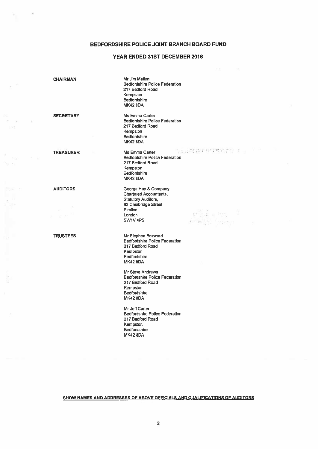## BEDFORDSHIRE POLICE JOINT BRANCH BOARD FUND

## YEAR ENDED 31ST DECEMBER 2016

in<br>Notes  $-75$ 

a<br>Personal

 $\frac{1}{2} \frac{1}{2} \frac{1}{2} \frac{1}{2} \frac{1}{2} \frac{1}{2} \cdots \frac{1}{2} \frac{1}{2}$ 

 $\mathbb{R}^n$ 

÷

| <b>CHAIRMAN</b>              | Mr Jim Mallen<br><b>Bedfordshire Police Federation</b><br>217 Bedford Road<br>Kempston<br><b>Bedfordshire</b><br><b>MK42 8DA</b>                                                                                                                                                                                         |
|------------------------------|--------------------------------------------------------------------------------------------------------------------------------------------------------------------------------------------------------------------------------------------------------------------------------------------------------------------------|
| <b>SECRETARY</b>             | Ms Emma Carter<br><b>Bedfordshire Police Federation</b><br>217 Bedford Road<br>Kempston<br><b>Bedfordshire</b><br><b>MK42 8DA</b>                                                                                                                                                                                        |
| <b>TREASURER</b>             | Sautofakineran molto<br>Ms Emma Carter<br><b>Bedfordshire Police Federation</b><br>217 Bedford Road<br>Kempston<br><b>Bedfordshire</b><br><b>MK42 8DA</b>                                                                                                                                                                |
| <b>AUDITORS</b><br>- 22 - 22 | George Hay & Company<br><b>Chartered Accountants,</b><br><b>Statutory Auditors,</b><br>83 Cambridge Street<br>Pimlico<br>$\mathbb{R}^n$ , $\mathbb{R}^n$ and $\mathbb{R}^n$ , $\mathbb{R}^n$<br>London<br>SW1V <sub>4PS</sub><br>$\mathcal{L} = 23\frac{m_{\rm Pl}}{3} \Sigma_{\rm eq} \equiv 0.54\, \mathrm{km/s}^{-1}$ |
| <b>TRUSTEES</b>              | Mr Stephen Bozward<br><b>Bedfordshire Police Federation</b><br>217 Bedford Road<br>Kempston<br><b>Bedfordshire</b><br><b>MK42 8DA</b>                                                                                                                                                                                    |
|                              | Mr Steve Andrews<br><b>Bedfordshire Police Federation</b><br>217 Bedford Road<br>Kempston<br>Bedfordshire<br><b>MK42 8DA</b>                                                                                                                                                                                             |
|                              | Mr Jeff Carter<br><b>Bedfordshire Police Federation</b><br>217 Bedford Road<br>Kempston<br><b>Bedfordshire</b><br>MK42 8DA                                                                                                                                                                                               |

SHOW NAMES AND ADDRESSES OF ABOVE OFFICIALS AND QUALIFICATIONS OF AUDITORS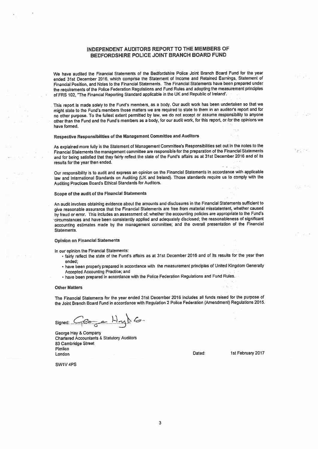## INDEPENDENT AUDITORS REPORT TO THE MEMBERS OF BEDFORDSHIRE POLICE JOINT BRANCH BOARD FUND

We have audited the Financial Statements of the Bedfordshire Police Joint Branch Board Fund for the year ended 31st December 2016, which comprise the Statement of Income and Retained Earnings, Statement of Financial Position, and Notes to the Financial Statements. The Finandal Statements have been prepare<sup>d</sup> under the requirements of the Police Federation Regulations and Fund Rules and adopting the measurement principles of FRS 102, "The Financial Reporting Standard applicable in the UK and Republic of Ireland'.

This report is made solely to the Fund's members, as a body. Our audit work has been undertaken so that we might state to the Fund's members those matters we are required to state to them in an auditor's report and for no other purpose. To the fullest extent permitted by law, we do not accep<sup>t</sup> or assume responsibility to anyone other than the Fund and the Fund's members as a body, for our audit work, for this report, or for the opinions we have formed.

## Respective Responsibilities of the Management Committee and Auditors

As explained more fully in the Statement of Management Committee's Responsibilities set out in the notes to the Financial Statements the managemen<sup>t</sup> committee are responsibte for the preparation of the Financial Statements and for being satisfied that they fairly reflect the state of the Fund's affairs as at 31st December 2016 and of its resulls for the year then ended.

Our responsibility is to audit and express an opinion on the Financial Statements in accordance with applicable law and International Standards on Auditing (UK and Ireland). Those standards require us to comply with the Auditing Practices Board's Ethical Standards for Auditors.

#### Scope of the audit of the Financial Statements

An audit involves obtaining evidence about the amounts and disclosures in the Financial Statements sufficient to <sup>g</sup>ive reasonable assurance that the Financial Statements are free from material misstatement, whether caused by fraud or error. This includes an assessment of: whether the accounting policies are appropriate to the Fund's circumstances and have been consistently applied and adequately disclosed; the reasonableness of significant accounting estimates made by the managemen<sup>t</sup> committee; and the overall presentation of the Financial Statements.

#### Opinion on Financial Statements

In our opinion the Financial Statements:

- fairly reflect the state of the Fund's affairs as at 31st December <sup>2016</sup> and of its results for the year then ended;
- have been properly prepare<sup>d</sup> in accordance with the measurement principles of United Kingdom Generally Accepted Accounting Practice; and
- have been prepare<sup>d</sup> in accordance with the Police Federation Regulations and Fund Rules.

#### Other Matters

The Financial Statements for the year ended 31st December <sup>2016</sup> indudes all funds raised for the purpose of the Joint Branch Board Fund in accordance with Regulation <sup>2</sup> Police Federation (Amendment) Regulations 2015.

Signed:  $Ge_{\sigma}$   $H_{\gamma\gamma}$   $G$ 

George Hay & Company Chartered Accountants & Statutory Auditors 63 Cambridge Street Pimlico London 2017<br>
London 1st February 2017

 $\sim$   $\sim$ 

SW1V 4PS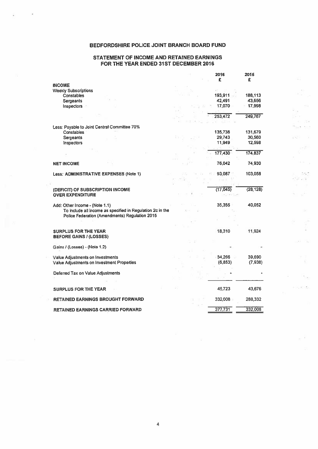## BEDFORDSHIRE POLICE JOINT BRANCH BOARD FUND

## STATEMENT OF INCOME AND RETAINED EARNINGS FOR THE YEAR ENDED 31ST DECEMBER 2016

 $\mathcal{L}_{\mathcal{L}}$ 

ý ÷.

 $\begin{aligned} \frac{\partial}{\partial t} & = & \frac{\partial}{\partial t} \\ \frac{\partial}{\partial t} & = & \frac{\partial}{\partial t} \\ \frac{\partial}{\partial t} & = & \frac{\partial}{\partial t} \\ \frac{\partial}{\partial t} & = & \frac{\partial}{\partial t} \\ \frac{\partial}{\partial t} & = & \frac{\partial}{\partial t} \\ \frac{\partial}{\partial t} & = & \frac{\partial}{\partial t} \\ \frac{\partial}{\partial t} & = & \frac{\partial}{\partial t} \\ \frac{\partial}{\partial t} & = & \frac{\partial}{\partial t} \\ \frac{\partial}{\partial t} & = & \frac{\partial}{\partial t} \\ \frac{\partial}{\partial t} & = & \frac{\partial}{$ 

 $\alpha_{\rm{max}}$  and

 $\mathcal{R}^{\text{eff}}$  ,  $\mathcal{R}^{\text{eff}}$ 

 $\frac{1}{2} \frac{1}{2} \sum_{i=1}^{n} \frac{1}{2} \sum_{j=1}^{n} \frac{1}{2} \sum_{j=1}^{n} \frac{1}{2} \sum_{j=1}^{n} \frac{1}{2} \sum_{j=1}^{n} \frac{1}{2} \sum_{j=1}^{n} \frac{1}{2} \sum_{j=1}^{n} \frac{1}{2} \sum_{j=1}^{n} \frac{1}{2} \sum_{j=1}^{n} \frac{1}{2} \sum_{j=1}^{n} \frac{1}{2} \sum_{j=1}^{n} \frac{1}{2} \sum_{j=1}^{n} \frac{1}{2} \sum$  $\sim$ 

 $\sim$   $\tau_{\rm m}$   $^{-1}$  $1.16 - 4$ 

 $\mathcal{H}_{\text{eff}}$  ,  $\mathcal{L}_{\text{eff}}$ 

 $\tilde{\mathcal{F}}$ S.

na Sa

 $\sim$  100  $\sim$  100  $\mu_{\rm{0}}$ 

 $\mathcal{C}_{\mathcal{A}}(x)$  .

 $\sim$   $^{-1}$ 

|                                                               | 2016      | 2015<br>£ |
|---------------------------------------------------------------|-----------|-----------|
| <b>INCOME</b>                                                 | £         |           |
| <b>Weekly Subscriptions</b>                                   |           |           |
| <b>Constables</b>                                             | 193,911   | 188,113   |
| <b>Sergeants</b>                                              | 42,491    | 43,656    |
| Inspectors                                                    | 17,070    | 17,998    |
|                                                               |           |           |
|                                                               | 253.472   | 249,767   |
| Less: Payable to Joint Central Committee 70%                  |           |           |
| <b>Constables</b>                                             | 135,738   | 131,679   |
| Sergeants                                                     | 29,743    | 30,560    |
| Inspectors                                                    | 11.949    | 12,598    |
|                                                               | 177,430   | 174,837   |
|                                                               |           |           |
| <b>NET INCOME</b>                                             | 76,042    | 74,930    |
| Less: ADMINISTRATIVE EXPENSES (Note 1)                        | 93,087    | 103,058   |
|                                                               |           |           |
| (DEFICIT) OF SUBSCRIPTION INCOME                              | (17, 045) | (28, 128) |
| <b>OVER EXPENDITURE</b>                                       |           |           |
| Add: Other Income - (Note 1.1)                                | 35.355    | 40,052    |
| To include all income as specified in Regulation 2c in the    |           |           |
| Police Federation (Amendments) Regulation 2015                |           |           |
|                                                               |           |           |
|                                                               |           |           |
| <b>SURPLUS FOR THE YEAR</b><br><b>BEFORE GAINS / (LOSSES)</b> | 18,310    | 11,924    |
|                                                               |           |           |
| Gains / (Losses) - (Note 1.2)                                 |           |           |
| Value Adjustments on Investments                              | 34,266    | 39,690    |
| Value Adjustments on Investment Properties                    | (6, 853)  | (7,938)   |
|                                                               |           |           |
| Deferred Tax on Value Adjustments                             |           |           |
|                                                               |           |           |
| <b>SURPLUS FOR THE YEAR</b>                                   | 45,723    | 43,676    |
| <b>RETAINED EARNINGS BROUGHT FORWARD</b>                      | 332,008   | 288,332   |
| <b>RETAINED EARNINGS CARRIED FORWARD</b>                      | 377.731   | 332,008   |

4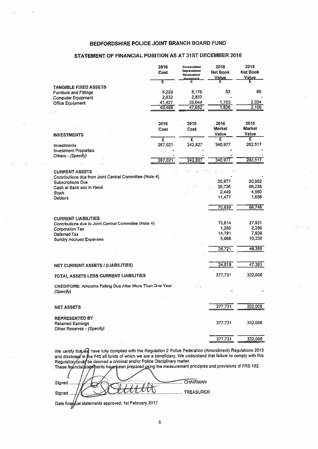## BEDFORDSHIRE POLICE JOINT BRANCH BOARD FUND

## STATEMENT OF FINANCIAL POSITION AS AT 31ST DECEMBER 2016

|                                                               | 2016<br>Cost | Accumulated<br><b>Depreciation/</b><br><b>Revaluation/</b> | 2016<br><b>Net Book</b><br>Value | 2015<br><b>Net Book</b><br><b>Value</b> |
|---------------------------------------------------------------|--------------|------------------------------------------------------------|----------------------------------|-----------------------------------------|
|                                                               | E            | <b>Impairment</b>                                          |                                  |                                         |
| <b>TANGIBLE FIXED ASSETS</b><br><b>Furniture and Fittings</b> | 5.229        | 5,176                                                      | 53                               | 66                                      |
| <b>Computer Equipment</b>                                     | 2,832.       | 2,832                                                      |                                  |                                         |
| <b>Office Equipment</b>                                       | 41,427       | 39,644                                                     | 1,783                            | 2,034                                   |
|                                                               | 49,488       | 47,652                                                     | 1,836                            | 2,100                                   |
|                                                               |              |                                                            |                                  |                                         |
|                                                               | 2016         | 2015                                                       | 2016                             | 2015                                    |
|                                                               | Cost         | Cost                                                       | <b>Market</b>                    | <b>Market</b>                           |
| <b>INVESTMENTS</b>                                            |              |                                                            | Value                            | Value                                   |
|                                                               | Ξ            | £                                                          | £                                | ε                                       |
| <b>Investments</b>                                            | 267,021      | 242,827                                                    | 340,977                          | 282,517                                 |
| <b>Investment Properties</b>                                  |              |                                                            |                                  |                                         |
| Others - (Specify)                                            |              |                                                            |                                  |                                         |
|                                                               | 267,021      | 242,827                                                    | 340.977                          | 282,517                                 |
| <b>CURRENT ASSETS</b>                                         |              |                                                            |                                  |                                         |
| Contributions due from Joint Central Committee (Note 4)       |              |                                                            |                                  |                                         |
| <b>Subscriptions Due</b>                                      |              |                                                            | 20,977                           | 20,902                                  |
| Cash at Bank and in Hand                                      |              |                                                            | 35,736                           | 68,238                                  |
| <b>Stock</b>                                                  |              |                                                            | 2.449                            | 4,950                                   |
| <b>Debtors</b>                                                |              |                                                            | 11,477                           | 1,656                                   |
|                                                               |              |                                                            |                                  |                                         |
|                                                               |              |                                                            | 70,639                           | 95,746                                  |
|                                                               |              |                                                            |                                  |                                         |
| <b>CURRENT LIABILITIES</b>                                    |              |                                                            |                                  |                                         |
| Contributions due to Joint Central Committee (Note 4)         |              |                                                            | 13,814                           | 27,931                                  |
| <b>Corporation Tax</b>                                        |              |                                                            | 1,250                            | 2,256                                   |
| Deferred Tax                                                  |              |                                                            | 14,791                           | 7,938                                   |
| <b>Sundry Accrued Expenses</b>                                |              |                                                            | 5,866                            | 10,230                                  |
|                                                               |              |                                                            | 35,721                           | 48,355                                  |
|                                                               |              |                                                            |                                  |                                         |
|                                                               |              |                                                            |                                  |                                         |
| <b>NET CURRENT ASSETS / (LIABILITIES)</b>                     |              |                                                            | 34,918                           | 47,391                                  |
|                                                               |              |                                                            |                                  |                                         |
| TOTAL ASSETS LESS CURRENT LIABILITIES                         |              |                                                            | 377,731                          | 332,008                                 |
| CREDITORS: Amounts Falling Due After More Than One Year       |              |                                                            |                                  |                                         |
| (Specify)                                                     |              |                                                            |                                  |                                         |
|                                                               |              |                                                            |                                  |                                         |
|                                                               |              |                                                            |                                  |                                         |
| <b>NET ASSETS</b>                                             |              |                                                            | 377,731                          | 332,008                                 |
|                                                               |              |                                                            |                                  |                                         |
| <b>REPRESENTED BY</b>                                         |              |                                                            |                                  |                                         |
| <b>Retained Earnings</b>                                      |              |                                                            | 377,731                          | 332,008                                 |
| Other Reserves - (Specify)                                    |              |                                                            |                                  |                                         |
|                                                               |              |                                                            |                                  |                                         |
|                                                               |              |                                                            | 377,731                          | 332,008                                 |

We certify and discli have fully complied with the Regulation <sup>2</sup> Police Federation (Amendment) Regulations <sup>2015</sup> ie F45 all funds of which we are <sup>a</sup> beneficiary. We understand that failure to comply with this be deemed <sup>a</sup> criminal and/ar Police Disciplinary matter.

teen prepare<sup>d</sup> using the measurement principles and provisions of ERS 102.

CHAIRMAN Signed ..... Ο ............. TREASURER Signed ..

Date financial statements approved: 1st February 2017

 $\overline{U}$  ,  $\overline{U}$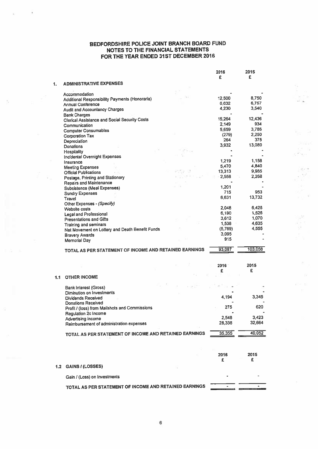## BFDFORDSHIRE POLICE JOINT BRANCH BOARD FUND NOTES TO THE FINANCIAL STATEMENTS FOR THE YEAR ENDED 31ST DECEMBER 2016

월부 다음

 $\begin{aligned} \mathcal{F}^{(1)}(x) = \mathcal{F}^{(1)}(x)\\ \mathcal{F}^{(2)}(x) = \mathcal{F}^{(1)}(x)\\ \mathcal{F}^{(2)}(x) = \mathcal{F}^{(1)}(x)\\ \mathcal{F}^{(1)}(x) = \mathcal{F}^{(1)}(x)\\ \mathcal{F}^{(2)}(x) = \mathcal{F}^{(1)}(x)\\ \mathcal{F}^{(1)}(x) = \mathcal{F}^{(1)}(x)\\ \mathcal{F}^{(2)}(x) = \mathcal{F}^{(1)}(x)\\ \mathcal{F}^{(1)}(x) = \mathcal{F$ 

Terra M

宽

 $\sim 10^6$  $\mathcal{E}^{\dagger}=-\Omega$ 

ï

 $\overline{\mathcal{I}}_2$ 

 $\mathcal{Z} = \mathcal{Z}$ 

|                  |                                                        | 2016         | 2015    |
|------------------|--------------------------------------------------------|--------------|---------|
|                  |                                                        | £            | £       |
| 1.               | <b>ADMINISTRATIVE EXPENSES</b>                         |              |         |
|                  |                                                        |              |         |
|                  | Accommodation                                          |              |         |
|                  | Additional Responsibility Payments (Honoraria)         | 12,500       | 8.750   |
|                  | <b>Annual Conference</b>                               | 6,632        | 6,757   |
|                  | <b>Audit and Accountancy Charges</b>                   | 4,230        | 3,540   |
|                  |                                                        |              |         |
|                  | <b>Bank Charges</b>                                    | 15,264       | 12,436  |
|                  | <b>Clerical Assistance and Social Security Costs</b>   | 2,149        | 934     |
|                  | Communication                                          | 5,659        | 3,786   |
|                  | <b>Computer Consumables</b>                            |              | 2,250   |
|                  | <b>Corporation Tax</b>                                 | (279)<br>264 | 375     |
|                  | Depreciation                                           |              |         |
|                  | Donations                                              | 3,932        | 13,080  |
|                  | Hospitality                                            |              |         |
|                  | <b>Incidental Overnight Expenses</b>                   |              |         |
|                  | Insurance                                              | 1,219        | 1,158   |
|                  | <b>Meeting Expenses</b>                                | 5,470        | 4,840   |
|                  | <b>Official Publications</b>                           | 13,313       | 9,985   |
|                  | Postage, Printing and Stationery                       | 2.558        | 2,268   |
|                  | Repairs and Maintenance                                |              |         |
|                  | Subsistence (Meal Expenses)                            | 1,201        |         |
|                  | <b>Sundry Expenses</b>                                 | 715          | 953     |
|                  | Travel                                                 | 6,631        | 13,732  |
|                  | Other Expenses - (Specify)                             |              |         |
|                  | Website costs                                          | 2,048        | 6,428   |
|                  | <b>Legal and Professional</b>                          | 6,190        | 1,526   |
|                  | <b>Presentations and Gifts</b>                         | 3,612        | 1,070   |
|                  | Training and seminars                                  | 1,538        | 4,635   |
|                  | Net Movement on Lottery and Death Benefit Funds        | (5,769)      | 4,555   |
|                  | <b>Bravery Awards</b>                                  | 3,095        |         |
|                  | <b>Memorial Day</b>                                    | 915          |         |
|                  |                                                        |              |         |
|                  | TOTAL AS PER STATEMENT OF INCOME AND RETAINED EARNINGS | 93,087       | 103,058 |
|                  |                                                        |              |         |
|                  |                                                        |              |         |
|                  |                                                        | 2016         | 2015    |
|                  |                                                        | £            | £       |
| 1.1              | <b>OTHER INCOME</b>                                    |              |         |
|                  |                                                        |              |         |
|                  | <b>Bank Interest (Gross)</b>                           |              |         |
|                  | Diminution on Investments                              |              |         |
|                  | <b>Dividends Received</b>                              | 4,194        | 3,345   |
|                  |                                                        |              |         |
|                  | <b>Donations Received</b>                              | 275          | 620     |
|                  | Profit / (loss) from Mailshots and Commissions         |              |         |
|                  | Regulation 2c Income                                   | 2.548        | 3,423   |
|                  | Advertising income                                     | 28,338       | 32,664  |
|                  | Reimbursement of administration expenses               |              |         |
|                  |                                                        | 35,355       | 40,052  |
|                  | TOTAL AS PER STATEMENT OF INCOME AND RETAINED EARNINGS |              |         |
|                  |                                                        |              |         |
|                  |                                                        |              |         |
|                  |                                                        | 2016         | 2015    |
|                  |                                                        | £            | £       |
|                  |                                                        |              |         |
| 1.2 <sub>1</sub> | <b>GAINS / (LOSSES)</b>                                |              |         |
|                  |                                                        |              |         |
|                  | Gain / (Loss) on Investments                           |              |         |
|                  |                                                        |              |         |
|                  | TOTAL AS PER STATEMENT OF INCOME AND RETAINED EARNINGS |              |         |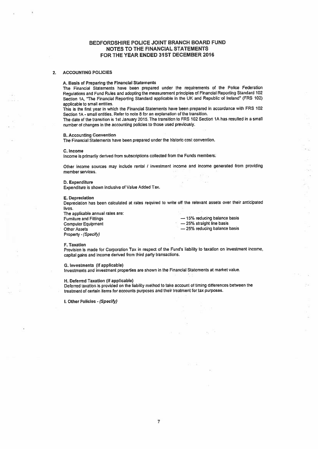## BEDFORDSHIRE POLICE JOINT BRANCH BOARD FUND NOTES TO THE FINANCIAL STATEMENTS FOR THE YEAR ENDED 31ST DECEMBER 2016

#### 2. ACCOUNTING POLICIES

## A. Basis of Preparing the Financial Statements

The Financial Statements have been prepare<sup>d</sup> under the requirements of the Police Federation Regulations and Fund Rules and adopting the measurement principles of Financial Reporting Standard <sup>102</sup> Section 1A, "The Financial Reporting Standard applicable in the UK and Republic of Ireland" (FRS 102) applicable to small entities.

This is the first year in which the Financial Statements have been prepare<sup>d</sup> in accordance with FRS <sup>102</sup> Section 1A -small entities. Refer to note S for an explanation of the transition.

The date of the transition is 1st January 2015. The transition to FRS <sup>102</sup> Section 1A has resulted in <sup>a</sup> small number of changes in the accounting policies to those used previously.

#### B. Accounting Convention

The Financial Statements have been prepared under the historic cost convention.

#### C. Income

Income is primarily derived from subscriptions collected from the Funds members.

Other income sources may include rental <sup>I</sup> investment income and income generated from providing member services.

#### D. Expenditure

Expenditure is shown inclusive of Value Added Tax.

#### E. Depreciation

Depreciation has been calculated at rates required to write off the relevant assets over their anticipated lives.

The applicable annual rates are:<br>Furniture and Fittings Computer Equipment — 25% straight line basis Property - (Specify)

 $-$  15% reducing balance basis

**Carl** 

- 25% reducing balance basis

 $28 - 7747$ 

ăц.

#### F. Taxation

Provision is made for Corporation Tax in respect of the Fund's liability to taxation on investment income, capital gains and income derived from third party transactions.

### G. Investments (if applicable)

Investments and investment properties are shown in the Financial Statements at market value.

### H. Deferred Taxation (it applicable)

Deferred taxation is provided on the liability method to take account of timing differences between the treatment of certain items for accounts purposes and their treatment for.tax purposes.

I. Other Policies - (Specify)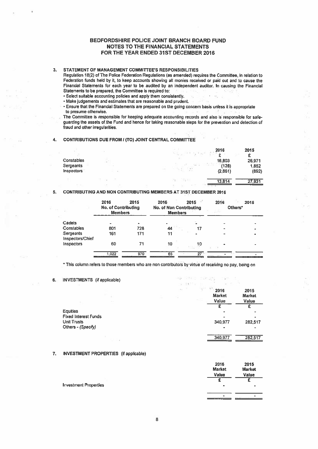## BEDFORDSHIRE POLICE JOINT BRANCH BOARD FUND NOTES TO THE FINANCIAL STATEMENTS FOR THE YEAR ENDED 31ST DECEMBER 2016

## 3. STATEMENT OF MANAGEMENT COMMITTEE'S RESPONSIBILITIES

Regulation 18(2) of The Police Federation Regulations (as amended) requires the Committee, in relation to Federation funds held by it, to keep accounts showing all monies received or paid out and to cause the Financial Statements for each year to be audited by an independent auditor. In causing the Financial Statements to be prepared, the Committee is required to:

- Select suitable accounting policies and apply them consistently. .
- Make judgements and estimates that are reasonable and prudent.

Ensure that the Financial Statements are prepared on the going concern basis unless it is appropriate to presume otherwise.

The Committee is responsible for keeping adequate accounting records and also is responsible for safe guarding the assets of the Fund and hence for taking reasonable steps for the prevention and detection of fraud and other irregularities.

## 4. CONTRIBUTIONS DUE FROM I (TO) JOINT CENTRAL COMMITTEE

|                   |            | 2016    | 2015   |
|-------------------|------------|---------|--------|
|                   |            | c       | £      |
| Constables        |            | 16,803  | 26,971 |
| <b>Sergeants</b>  | the co-    | (128)   | 1,852  |
| <b>Inspectors</b> | 1.9<br>t-r | (2,861) | (892)  |
|                   | Digital    | 13,814  | 27,931 |

## 5. CONTRIBUTING AND NON CONTRIBUTING MEMBERS AT 31ST DECEMBER 2016

|                               | 2016<br><b>No. of Contributing</b><br><b>Members</b> | 2015         | 2016<br><b>No. of Non Contributing</b><br><b>Members</b> | 2015           | 2016<br>Others* | 2015 |
|-------------------------------|------------------------------------------------------|--------------|----------------------------------------------------------|----------------|-----------------|------|
| Cadets                        |                                                      | ٠            |                                                          |                |                 |      |
| Constables                    | 801                                                  | 728          | 44                                                       |                |                 |      |
| Sergeants<br>Inspectors/Chief | 161                                                  | 171          | 11                                                       |                |                 |      |
| Inspectors                    | 60                                                   | 71           | 10                                                       | $\frac{10}{2}$ |                 |      |
|                               | 1,022<br>the first control of the con-               | 970<br>1.111 | 65                                                       | $27 -$         |                 |      |

This column refers to those members who are non contributors by virtue of receiving no pay, being on

## 6. INVESTMENTS (if applicable)

|                                                                      | $-1000$ | <b>STAR</b> | $\mu_{\rm B}$ | 10111<br>$= -11$ | 2016<br><b>Market</b><br>Value | 2015<br><b>Market</b><br>Value |
|----------------------------------------------------------------------|---------|-------------|---------------|------------------|--------------------------------|--------------------------------|
| <b>Equities</b><br><b>Fixed Interest Funds</b><br><b>Unit Trusts</b> |         |             |               |                  | ۰<br>340,977                   | 282,517                        |
| Others - (Specify)                                                   |         |             |               |                  | -<br>340,977                   | 282,517                        |

## 7. INVESTMENT PROPERTIES (if applicable)

|                              | ---<br><b>Market</b><br>Value | ---<br><b>Market</b><br>Value |
|------------------------------|-------------------------------|-------------------------------|
| <b>Investment Properties</b> | ۰                             | ۰                             |
|                              | ۰                             | ٠                             |

2018 2015

 $\label{eq:3.1} \frac{\partial \phi}{\partial t} = \frac{\partial \phi}{\partial t} \frac{\partial \phi}{\partial x} = \frac{\partial \phi}{\partial x} \frac{\partial \phi}{\partial x} \frac{\partial \phi}{\partial x} = -\frac{\partial \phi}{\partial x} \frac{\partial \phi}{\partial x}.$ 

 $(1 - 1)^{1/2}$  ,  $(1 - 1)^{1/2}$ 

 $\sim$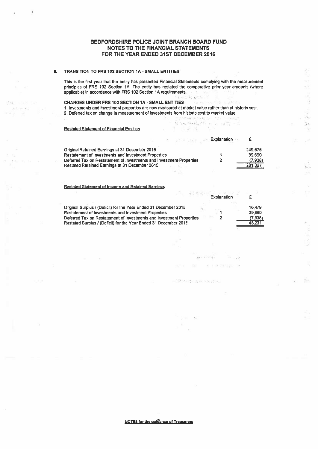## BEDFORDSHIRE POLICE JOINT BRANCH BOARD FUND NOTES TO THE FINANCIAL STATEMENTS FOR THE YEAR ENDED 31ST DECEMBER 2016

## 8. TRANSITION TO FRS 102 SECTION IA - SMALL ENTITIES

This is the first year that the entity has presented Financial Statements complying with the measurement principles of FRS 102 Section 1A. The entity has restated the comparative prior year amounts (where applicable) in accordance with FRS 102 Section 1A requirements. - 93

Sk.

ğs.

 $\tilde{\mathbb{1}}$  :

 $\frac{1}{2}$  $\sim 5$ 

ý.

CHANGES UNDER FRS 102 SECTION IA - SMALL ENTITIES ing a committee a state. 1. Investments and investment properties are now measured at market value rather than at historic cost. 2. Deferred tax on change in measurement of investments from historic cost to market value.<br>2. Deferred tax on change in measurement of investments from historic cost to market value.

to his resolution of colors in the

## Restated Statement of Financial Position

 $\mathcal{Z} \cap \mathcal{Z} = \mathcal{Z}$ 

 $\pm 1$ activa con

|                                                                      | <b>Explanation</b> |         |
|----------------------------------------------------------------------|--------------------|---------|
| Original Retained Earnings at 31 December 2015                       |                    | 249.575 |
| <b>Restatement of Investments and Investment Properties</b>          |                    | 39.690  |
| Deferred Tax on Restatement of Investments and Investment Properties |                    | (7,938) |
| <b>Restated Retained Earnings at 31 December 2015</b>                |                    | 281,327 |
|                                                                      |                    |         |

おうさつ スー

| <b>Restated Statement of Income and Retained Earnings</b>                                                                                                                                                                                                                                             |                   |
|-------------------------------------------------------------------------------------------------------------------------------------------------------------------------------------------------------------------------------------------------------------------------------------------------------|-------------------|
| $\begin{array}{lllllllllllllll} \text{.} & \text{.} & \text{.} & \text{.} & \text{.} & \text{.} & \text{.} & \text{.} & \text{.} \\ \text{.} & \text{.} & \text{.} & \text{.} & \text{.} & \text{.} & \text{.} & \text{.} & \text{.} \\ & \text{.} & \text{Explanation} & & & & \text{.} \end{array}$ |                   |
| Original Surplus / (Deficit) for the Year Ended 31 December 2015<br>Restatement of Investments and Investment Properties                                                                                                                                                                              | 16.479<br>39,690  |
| Deferred Tax on Restatement of Investments and Investment Properties<br>Restated Surplus / (Deficit) for the Year Ended 31 December 2015                                                                                                                                                              | (7,938)<br>48.231 |

ä,

offer a second

 $\mathcal{G}_1$ 

NOTES for the quidance of Treasurers